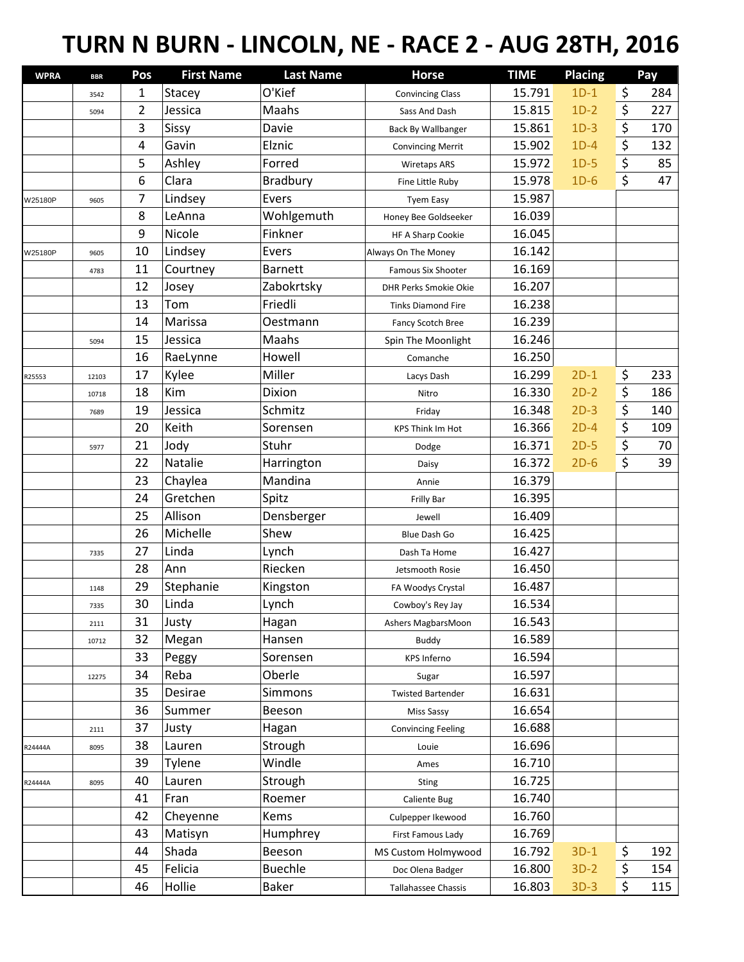## **TURN N BURN - LINCOLN, NE - RACE 2 - AUG 28TH, 2016**

| <b>WPRA</b> | <b>BBR</b> | Pos            | <b>First Name</b> | <b>Last Name</b> | <b>Horse</b>              | <b>TIME</b> | <b>Placing</b> |                  | Pay |
|-------------|------------|----------------|-------------------|------------------|---------------------------|-------------|----------------|------------------|-----|
|             | 3542       | 1              | Stacey            | O'Kief           | <b>Convincing Class</b>   | 15.791      | $1D-1$         | \$               | 284 |
|             | 5094       | $\overline{2}$ | Jessica           | Maahs            | Sass And Dash             | 15.815      | $1D-2$         | \$               | 227 |
|             |            | 3              | Sissy             | Davie            | <b>Back By Wallbanger</b> | 15.861      | $1D-3$         | \$               | 170 |
|             |            | 4              | Gavin             | Elznic           | <b>Convincing Merrit</b>  | 15.902      | $1D-4$         | \$               | 132 |
|             |            | 5              | Ashley            | Forred           | <b>Wiretaps ARS</b>       | 15.972      | $1D-5$         | \$               | 85  |
|             |            | 6              | Clara             | Bradbury         | Fine Little Ruby          | 15.978      | $1D-6$         | \$               | 47  |
| W25180P     | 9605       | 7              | Lindsey           | Evers            | <b>Tyem Easy</b>          | 15.987      |                |                  |     |
|             |            | 8              | LeAnna            | Wohlgemuth       | Honey Bee Goldseeker      | 16.039      |                |                  |     |
|             |            | 9              | Nicole            | Finkner          | HF A Sharp Cookie         | 16.045      |                |                  |     |
| W25180P     | 9605       | 10             | Lindsey           | Evers            | Always On The Money       | 16.142      |                |                  |     |
|             | 4783       | 11             | Courtney          | <b>Barnett</b>   | <b>Famous Six Shooter</b> | 16.169      |                |                  |     |
|             |            | 12             | Josey             | Zabokrtsky       | DHR Perks Smokie Okie     | 16.207      |                |                  |     |
|             |            | 13             | Tom               | Friedli          | <b>Tinks Diamond Fire</b> | 16.238      |                |                  |     |
|             |            | 14             | Marissa           | Oestmann         | Fancy Scotch Bree         | 16.239      |                |                  |     |
|             | 5094       | 15             | Jessica           | Maahs            | Spin The Moonlight        | 16.246      |                |                  |     |
|             |            | 16             | RaeLynne          | Howell           | Comanche                  | 16.250      |                |                  |     |
| R25553      | 12103      | 17             | Kylee             | Miller           | Lacys Dash                | 16.299      | $2D-1$         | \$               | 233 |
|             | 10718      | 18             | Kim               | Dixion           | Nitro                     | 16.330      | $2D-2$         | \$               | 186 |
|             | 7689       | 19             | Jessica           | Schmitz          | Friday                    | 16.348      | $2D-3$         | \$               | 140 |
|             |            | 20             | Keith             | Sorensen         | <b>KPS Think Im Hot</b>   | 16.366      | $2D-4$         | $\overline{\xi}$ | 109 |
|             | 5977       | 21             | Jody              | Stuhr            | Dodge                     | 16.371      | $2D-5$         | \$               | 70  |
|             |            | 22             | Natalie           | Harrington       | Daisy                     | 16.372      | $2D-6$         | \$               | 39  |
|             |            | 23             | Chaylea           | Mandina          | Annie                     | 16.379      |                |                  |     |
|             |            | 24             | Gretchen          | Spitz            | Frilly Bar                | 16.395      |                |                  |     |
|             |            | 25             | Allison           | Densberger       | Jewell                    | 16.409      |                |                  |     |
|             |            | 26             | Michelle          | Shew             | Blue Dash Go              | 16.425      |                |                  |     |
|             | 7335       | 27             | Linda             | Lynch            | Dash Ta Home              | 16.427      |                |                  |     |
|             |            | 28             | Ann               | Riecken          | Jetsmooth Rosie           | 16.450      |                |                  |     |
|             | 1148       | 29             | Stephanie         | Kingston         | FA Woodys Crystal         | 16.487      |                |                  |     |
|             | 7335       | 30             | Linda             | Lynch            | Cowboy's Rey Jay          | 16.534      |                |                  |     |
|             | 2111       | 31             | Justy             | Hagan            | Ashers MagbarsMoon        | 16.543      |                |                  |     |
|             | 10712      | 32             | Megan             | Hansen           | <b>Buddy</b>              | 16.589      |                |                  |     |
|             |            | 33             | Peggy             | Sorensen         | <b>KPS Inferno</b>        | 16.594      |                |                  |     |
|             | 12275      | 34             | Reba              | Oberle           | Sugar                     | 16.597      |                |                  |     |
|             |            | 35             | Desirae           | Simmons          | <b>Twisted Bartender</b>  | 16.631      |                |                  |     |
|             |            | 36             | Summer            | Beeson           | Miss Sassy                | 16.654      |                |                  |     |
|             | 2111       | 37             | Justy             | Hagan            | <b>Convincing Feeling</b> | 16.688      |                |                  |     |
| R24444A     | 8095       | 38             | Lauren            | Strough          | Louie                     | 16.696      |                |                  |     |
|             |            | 39             | Tylene            | Windle           | Ames                      | 16.710      |                |                  |     |
| R24444A     | 8095       | 40             | Lauren            | Strough          | Sting                     | 16.725      |                |                  |     |
|             |            | 41             | Fran              | Roemer           | Caliente Bug              | 16.740      |                |                  |     |
|             |            | 42             | Cheyenne          | Kems             | Culpepper Ikewood         | 16.760      |                |                  |     |
|             |            | 43             | Matisyn           | Humphrey         | First Famous Lady         | 16.769      |                |                  |     |
|             |            | 44             | Shada             | Beeson           | MS Custom Holmywood       | 16.792      | $3D-1$         | \$               | 192 |
|             |            | 45             | Felicia           | <b>Buechle</b>   | Doc Olena Badger          | 16.800      | $3D-2$         | \$               | 154 |
|             |            | 46             | Hollie            | <b>Baker</b>     | Tallahassee Chassis       | 16.803      | $3D-3$         | \$               | 115 |
|             |            |                |                   |                  |                           |             |                |                  |     |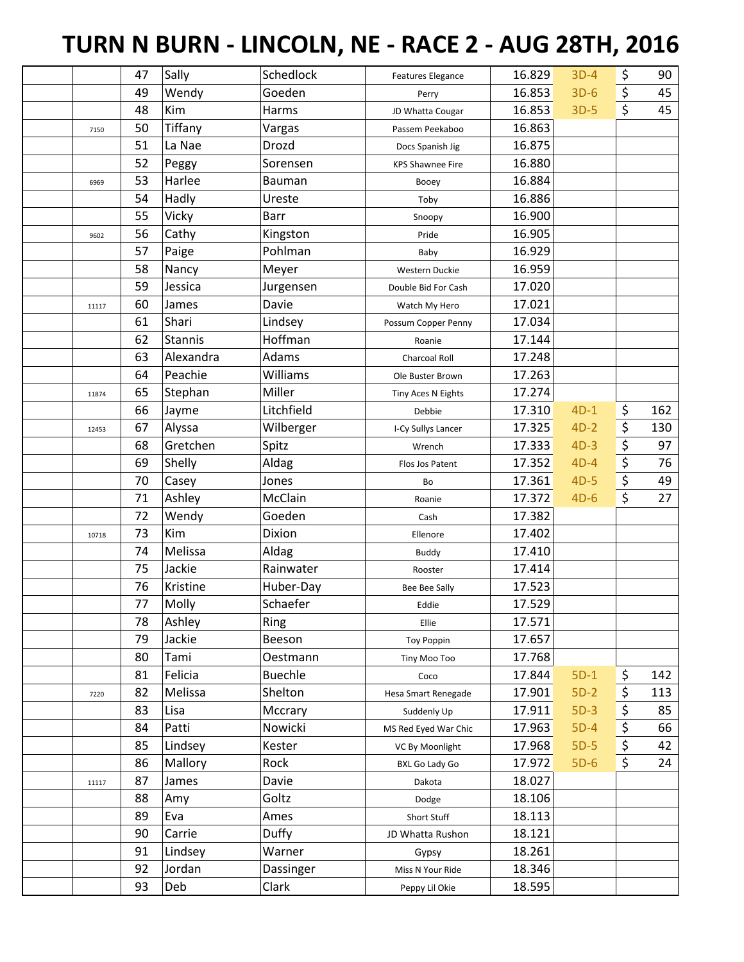## **TURN N BURN - LINCOLN, NE - RACE 2 - AUG 28TH, 2016**

|       | 47 | Sally          | Schedlock      | <b>Features Elegance</b> | 16.829 | $3D-4$ | \$               | 90  |
|-------|----|----------------|----------------|--------------------------|--------|--------|------------------|-----|
|       | 49 | Wendy          | Goeden         | Perry                    | 16.853 | $3D-6$ | \$               | 45  |
|       | 48 | Kim            | Harms          | JD Whatta Cougar         | 16.853 | $3D-5$ | $\zeta$          | 45  |
| 7150  | 50 | Tiffany        | Vargas         | Passem Peekaboo          | 16.863 |        |                  |     |
|       | 51 | La Nae         | Drozd          | Docs Spanish Jig         | 16.875 |        |                  |     |
|       | 52 | Peggy          | Sorensen       | <b>KPS Shawnee Fire</b>  | 16.880 |        |                  |     |
| 6969  | 53 | Harlee         | <b>Bauman</b>  | Booey                    | 16.884 |        |                  |     |
|       | 54 | Hadly          | Ureste         | Toby                     | 16.886 |        |                  |     |
|       | 55 | Vicky          | <b>Barr</b>    | Snoopy                   | 16.900 |        |                  |     |
| 9602  | 56 | Cathy          | Kingston       | Pride                    | 16.905 |        |                  |     |
|       | 57 | Paige          | Pohlman        | Baby                     | 16.929 |        |                  |     |
|       | 58 | Nancy          | Meyer          | Western Duckie           | 16.959 |        |                  |     |
|       | 59 | Jessica        | Jurgensen      | Double Bid For Cash      | 17.020 |        |                  |     |
| 11117 | 60 | James          | Davie          | Watch My Hero            | 17.021 |        |                  |     |
|       | 61 | Shari          | Lindsey        | Possum Copper Penny      | 17.034 |        |                  |     |
|       | 62 | <b>Stannis</b> | Hoffman        | Roanie                   | 17.144 |        |                  |     |
|       | 63 | Alexandra      | Adams          | <b>Charcoal Roll</b>     | 17.248 |        |                  |     |
|       | 64 | Peachie        | Williams       | Ole Buster Brown         | 17.263 |        |                  |     |
| 11874 | 65 | Stephan        | Miller         | Tiny Aces N Eights       | 17.274 |        |                  |     |
|       | 66 | Jayme          | Litchfield     | Debbie                   | 17.310 | $4D-1$ | \$               | 162 |
| 12453 | 67 | Alyssa         | Wilberger      | I-Cy Sullys Lancer       | 17.325 | $4D-2$ | \$               | 130 |
|       | 68 | Gretchen       | Spitz          | Wrench                   | 17.333 | $4D-3$ | \$               | 97  |
|       | 69 | Shelly         | Aldag          | Flos Jos Patent          | 17.352 | $4D-4$ | $\overline{\xi}$ | 76  |
|       | 70 | Casey          | Jones          | Bo                       | 17.361 | $4D-5$ | $\overline{\xi}$ | 49  |
|       | 71 | Ashley         | McClain        | Roanie                   | 17.372 | $4D-6$ | $\overline{\xi}$ | 27  |
|       | 72 | Wendy          | Goeden         | Cash                     | 17.382 |        |                  |     |
| 10718 | 73 | Kim            | Dixion         | Ellenore                 | 17.402 |        |                  |     |
|       | 74 | Melissa        | Aldag          | <b>Buddy</b>             | 17.410 |        |                  |     |
|       | 75 | Jackie         | Rainwater      | Rooster                  | 17.414 |        |                  |     |
|       | 76 | Kristine       | Huber-Day      | Bee Bee Sally            | 17.523 |        |                  |     |
|       | 77 | Molly          | Schaefer       | Eddie                    | 17.529 |        |                  |     |
|       | 78 | Ashley         | Ring           | Ellie                    | 17.571 |        |                  |     |
|       | 79 | Jackie         | Beeson         | <b>Toy Poppin</b>        | 17.657 |        |                  |     |
|       | 80 | Tami           | Oestmann       | Tiny Moo Too             | 17.768 |        |                  |     |
|       | 81 | Felicia        | <b>Buechle</b> | Coco                     | 17.844 | $5D-1$ | \$               | 142 |
| 7220  | 82 | Melissa        | Shelton        | Hesa Smart Renegade      | 17.901 | $5D-2$ | \$               | 113 |
|       | 83 | Lisa           | Mccrary        | Suddenly Up              | 17.911 | $5D-3$ | \$               | 85  |
|       | 84 | Patti          | Nowicki        | MS Red Eyed War Chic     | 17.963 | $5D-4$ | \$               | 66  |
|       | 85 | Lindsey        | Kester         | VC By Moonlight          | 17.968 | $5D-5$ | $\overline{\xi}$ | 42  |
|       | 86 | Mallory        | Rock           | <b>BXL Go Lady Go</b>    | 17.972 | $5D-6$ | \$               | 24  |
|       | 87 | James          | Davie          | Dakota                   | 18.027 |        |                  |     |
| 11117 | 88 | Amy            | Goltz          |                          | 18.106 |        |                  |     |
|       | 89 | Eva            | Ames           | Dodge                    | 18.113 |        |                  |     |
|       | 90 |                |                | Short Stuff              |        |        |                  |     |
|       |    | Carrie         | <b>Duffy</b>   | JD Whatta Rushon         | 18.121 |        |                  |     |
|       | 91 | Lindsey        | Warner         | Gypsy                    | 18.261 |        |                  |     |
|       | 92 | Jordan         | Dassinger      | Miss N Your Ride         | 18.346 |        |                  |     |
|       | 93 | Deb            | Clark          | Peppy Lil Okie           | 18.595 |        |                  |     |